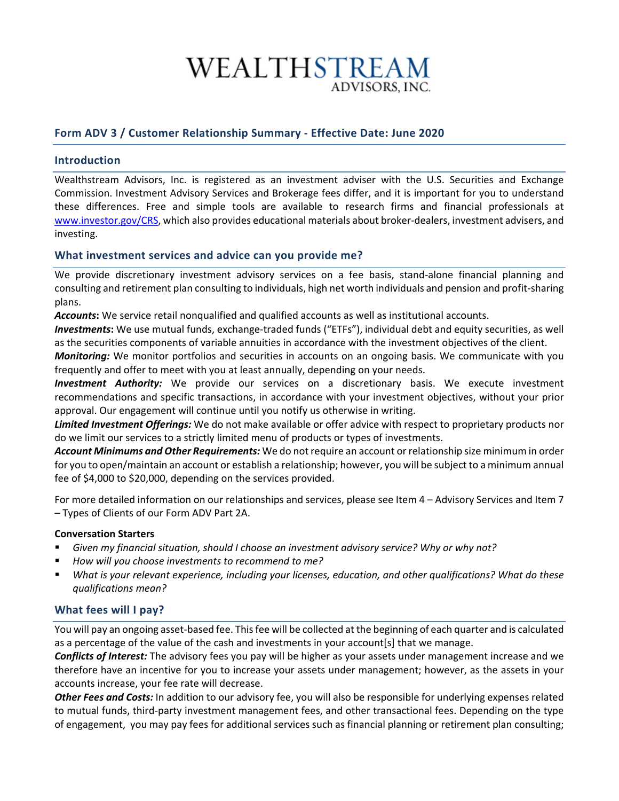# WEALTHSTREAM ADVISORS. INC.

## **Form ADV 3 / Customer Relationship Summary - Effective Date: June 2020**

## **Introduction**

Wealthstream Advisors, Inc. is registered as an investment adviser with the U.S. Securities and Exchange Commission. Investment Advisory Services and Brokerage fees differ, and it is important for you to understand these differences. Free and simple tools are available to research firms and financial professionals at [www.investor.gov/CRS,](http://www.investor.gov/CRS) which also provides educational materials about broker-dealers, investment advisers, and investing.

## **What investment services and advice can you provide me?**

We provide discretionary investment advisory services on a fee basis, stand-alone financial planning and consulting and retirement plan consulting to individuals, high net worth individuals and pension and profit-sharing plans.

*Accounts***:** We service retail nonqualified and qualified accounts as well as institutional accounts.

*Investments***:** We use mutual funds, exchange-traded funds ("ETFs"), individual debt and equity securities, as well as the securities components of variable annuities in accordance with the investment objectives of the client.

*Monitoring:* We monitor portfolios and securities in accounts on an ongoing basis. We communicate with you frequently and offer to meet with you at least annually, depending on your needs.

*Investment Authority:* We provide our services on a discretionary basis. We execute investment recommendations and specific transactions, in accordance with your investment objectives, without your prior approval. Our engagement will continue until you notify us otherwise in writing.

*Limited Investment Offerings:* We do not make available or offer advice with respect to proprietary products nor do we limit our services to a strictly limited menu of products or types of investments.

*Account Minimums and Other Requirements:* We do not require an account or relationship size minimum in order for you to open/maintain an account or establish a relationship; however, you will be subject to a minimum annual fee of \$4,000 to \$20,000, depending on the services provided.

For more detailed information on our relationships and services, please see Item 4 – Advisory Services and Item 7 – Types of Clients of our Form ADV Part 2A.

## **Conversation Starters**

- *Given my financial situation, should I choose an investment advisory service? Why or why not?*
- *How will you choose investments to recommend to me?*
- *What is your relevant experience, including your licenses, education, and other qualifications? What do these qualifications mean?*

## **What fees will I pay?**

You will pay an ongoing asset-based fee. This fee will be collected at the beginning of each quarter and is calculated as a percentage of the value of the cash and investments in your account[s] that we manage.

*Conflicts of Interest:* The advisory fees you pay will be higher as your assets under management increase and we therefore have an incentive for you to increase your assets under management; however, as the assets in your accounts increase, your fee rate will decrease.

*Other Fees and Costs:* In addition to our advisory fee, you will also be responsible for underlying expenses related to mutual funds, third-party investment management fees, and other transactional fees. Depending on the type of engagement, you may pay fees for additional services such as financial planning or retirement plan consulting;